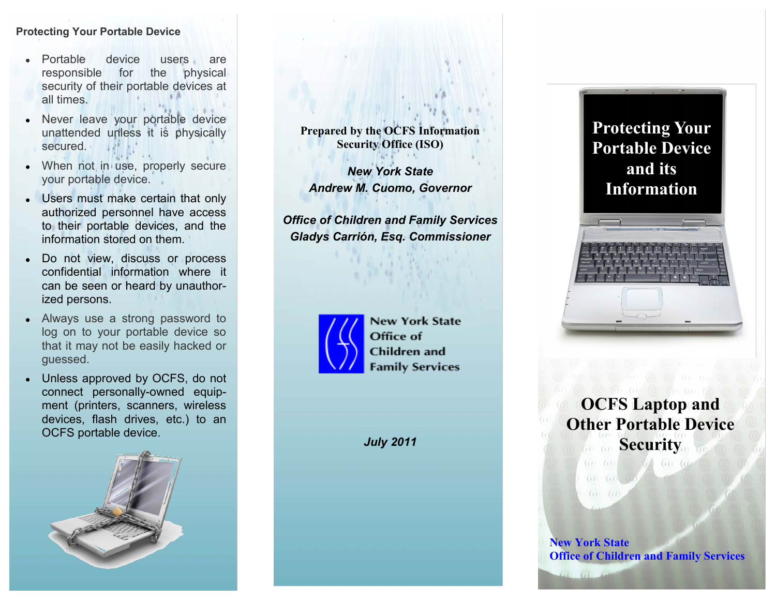# **Protecting Your Portable Device**

- Portable device users are responsible for the physical security of their portable devices at all times.
- Never leave your portable device unattended unless it is physically secured.
- When not in use, properly secure your portable device.
- Users must make certain that only authorized personnel have access to their portable devices, and the information stored on them.
- Do not view, discuss or process  $\bullet$ confidential information where it can be seen or heard by unauthorized persons.
- Always use a strong password to  $\bullet$ log on to your portable device so that it may not be easily hacked or guessed.
- Unless approved by OCFS, do not  $\bullet$ connect personally-owned equipment (printers, scanners, wireless devices, flash drives, etc.) to an OCFS portable device.



**Prepared by the OCFS Information Security Office (ISO)**

*New York State Andrew M. Cuomo, Governor*

*Office of Children and Family Services Gladys Carrión, Esq. Commissioner*



**New York State** Office of **Children** and **Family Services** 

*July 2011*



**OCFS Laptop and Other Portable Device Security** 

(a) (a) (c) (c) (c) (c)

**New York State Office of Children and Family Services**

 $(1)$  $(11)$ 

 $(11)$  $(1)$